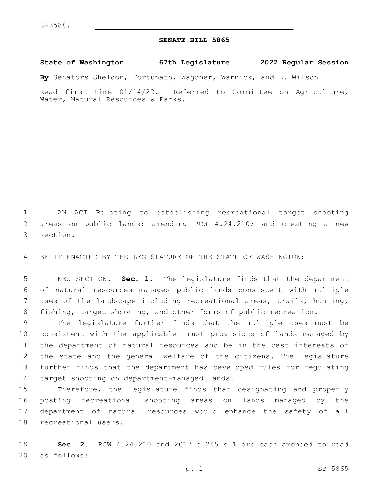## **SENATE BILL 5865**

**State of Washington 67th Legislature 2022 Regular Session**

**By** Senators Sheldon, Fortunato, Wagoner, Warnick, and L. Wilson

Read first time 01/14/22. Referred to Committee on Agriculture, Water, Natural Resources & Parks.

1 AN ACT Relating to establishing recreational target shooting 2 areas on public lands; amending RCW 4.24.210; and creating a new 3 section.

4 BE IT ENACTED BY THE LEGISLATURE OF THE STATE OF WASHINGTON:

 NEW SECTION. **Sec. 1.** The legislature finds that the department of natural resources manages public lands consistent with multiple uses of the landscape including recreational areas, trails, hunting, fishing, target shooting, and other forms of public recreation.

 The legislature further finds that the multiple uses must be consistent with the applicable trust provisions of lands managed by the department of natural resources and be in the best interests of the state and the general welfare of the citizens. The legislature further finds that the department has developed rules for regulating 14 target shooting on department-managed lands.

 Therefore, the legislature finds that designating and properly posting recreational shooting areas on lands managed by the department of natural resources would enhance the safety of all 18 recreational users.

19 **Sec. 2.** RCW 4.24.210 and 2017 c 245 s 1 are each amended to read 20 as follows: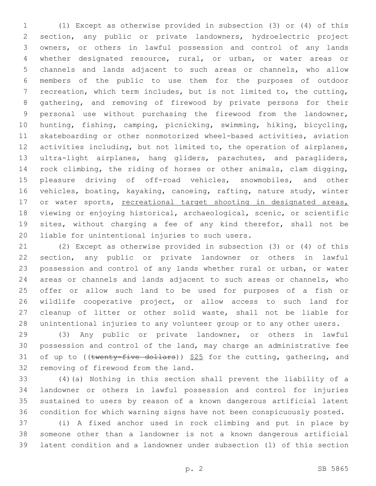(1) Except as otherwise provided in subsection (3) or (4) of this section, any public or private landowners, hydroelectric project owners, or others in lawful possession and control of any lands whether designated resource, rural, or urban, or water areas or channels and lands adjacent to such areas or channels, who allow members of the public to use them for the purposes of outdoor recreation, which term includes, but is not limited to, the cutting, gathering, and removing of firewood by private persons for their personal use without purchasing the firewood from the landowner, hunting, fishing, camping, picnicking, swimming, hiking, bicycling, skateboarding or other nonmotorized wheel-based activities, aviation activities including, but not limited to, the operation of airplanes, ultra-light airplanes, hang gliders, parachutes, and paragliders, rock climbing, the riding of horses or other animals, clam digging, pleasure driving of off-road vehicles, snowmobiles, and other vehicles, boating, kayaking, canoeing, rafting, nature study, winter 17 or water sports, recreational target shooting in designated areas, viewing or enjoying historical, archaeological, scenic, or scientific sites, without charging a fee of any kind therefor, shall not be 20 liable for unintentional injuries to such users.

 (2) Except as otherwise provided in subsection (3) or (4) of this section, any public or private landowner or others in lawful possession and control of any lands whether rural or urban, or water areas or channels and lands adjacent to such areas or channels, who offer or allow such land to be used for purposes of a fish or wildlife cooperative project, or allow access to such land for cleanup of litter or other solid waste, shall not be liable for unintentional injuries to any volunteer group or to any other users.

 (3) Any public or private landowner, or others in lawful possession and control of the land, may charge an administrative fee 31 of up to (( $t$ wenty-five dollars))  $$25$  for the cutting, gathering, and 32 removing of firewood from the land.

 (4)(a) Nothing in this section shall prevent the liability of a landowner or others in lawful possession and control for injuries sustained to users by reason of a known dangerous artificial latent condition for which warning signs have not been conspicuously posted.

 (i) A fixed anchor used in rock climbing and put in place by someone other than a landowner is not a known dangerous artificial latent condition and a landowner under subsection (1) of this section